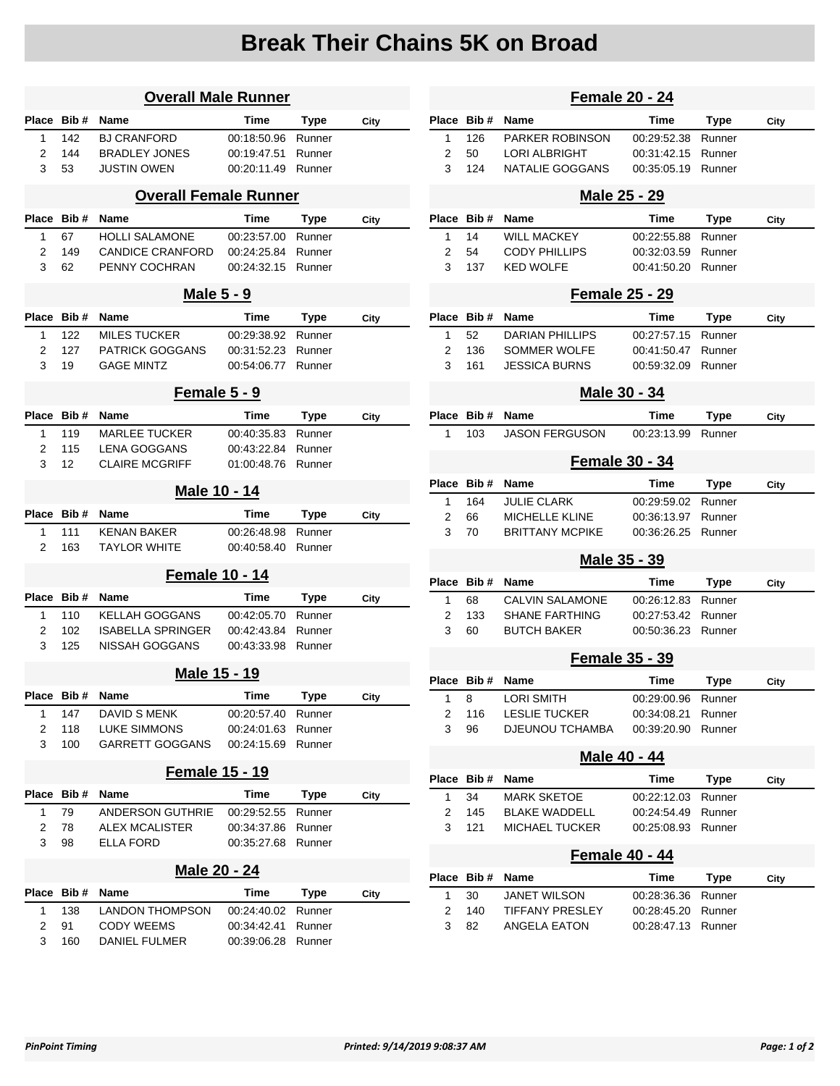## **Break Their Chains 5K on Broad**

| <b>Overall Male Runner</b> |            |                              |             |             |      |
|----------------------------|------------|------------------------------|-------------|-------------|------|
| <b>Place</b>               | Bib#       | <b>Name</b>                  | Time        | Type        | City |
| 1                          | 142        | <b>BJ CRANFORD</b>           | 00:18:50.96 | Runner      |      |
| 2                          | 144        | <b>BRADLEY JONES</b>         | 00:19:47.51 | Runner      |      |
| 3                          | 53         | JUSTIN OWEN                  | 00:20:11.49 | Runner      |      |
|                            |            | <b>Overall Female Runner</b> |             |             |      |
| <b>Place</b>               | Bib#       | Name                         | Time        | Type        | City |
| 1                          | 67         | <b>HOLLI SALAMONE</b>        | 00:23:57.00 | Runner      |      |
| 2                          | 149        | <b>CANDICE CRANFORD</b>      | 00:24:25.84 | Runner      |      |
| 3                          | 62         | PENNY COCHRAN                | 00:24:32.15 | Runner      |      |
|                            |            | <b>Male 5 - 9</b>            |             |             |      |
| <b>Place</b>               | Bib#       | Name                         | Time        | <b>Type</b> | City |
| 1                          | 122        | <b>MILES TUCKER</b>          | 00:29:38.92 | Runner      |      |
| 2                          | 127        | PATRICK GOGGANS              | 00:31:52.23 | Runner      |      |
| 3                          | 19         | <b>GAGE MINTZ</b>            | 00:54:06.77 | Runner      |      |
|                            |            | Female 5 - 9                 |             |             |      |
| <b>Place</b>               | Bib#       | <b>Name</b>                  | <b>Time</b> | Type        | City |
| 1                          | 119        | <b>MARLEE TUCKER</b>         | 00:40:35.83 | Runner      |      |
| 2                          | 115        | <b>LENA GOGGANS</b>          | 00:43:22.84 | Runner      |      |
| 3                          | 12         | <b>CLAIRE MCGRIFF</b>        | 01:00:48.76 | Runner      |      |
|                            |            | Male 10 - 14                 |             |             |      |
|                            |            |                              |             |             |      |
| Place                      | Bib#       | Name                         | Time        | <b>Type</b> | City |
| 1                          | 111        | <b>KENAN BAKER</b>           | 00:26:48.98 | Runner      |      |
| 2                          | 163        | TAYLOR WHITE                 | 00:40:58.40 | Runner      |      |
|                            |            | <b>Female 10 - 14</b>        |             |             |      |
| Place                      | Bib#       | Name                         | Time        | <b>Type</b> | City |
| 1                          | 110        | KELLAH GOGGANS               | 00:42:05.70 | Runner      |      |
| 2                          | 102        | <b>ISABELLA SPRINGER</b>     | 00:42:43.84 | Runner      |      |
| 3                          | 125        | NISSAH GOGGANS               | 00:43:33.98 | Runner      |      |
|                            |            | Male 15 - 19                 |             |             |      |
|                            | Place Bib# | Name                         | Time        | Type        | City |
| 1                          | 147        | DAVID S MENK                 | 00:20:57.40 | Runner      |      |
| 2                          | 118        | <b>LUKE SIMMONS</b>          | 00:24:01.63 | Runner      |      |
| 3                          | 100        | GARRETT GOGGANS              | 00:24:15.69 | Runner      |      |
|                            |            | <b>Female 15 - 19</b>        |             |             |      |
|                            | Place Bib# | Name                         | <b>Time</b> | <b>Type</b> | City |
| 1                          | 79         | ANDERSON GUTHRIE             | 00:29:52.55 | Runner      |      |
| $\overline{2}$             | 78         | <b>ALEX MCALISTER</b>        | 00:34:37.86 | Runner      |      |
| 3                          | 98         | <b>ELLA FORD</b>             | 00:35:27.68 | Runner      |      |
|                            |            | <b>Male 20 - 24</b>          |             |             |      |
|                            | Place Bib# | Name                         | Time        | <b>Type</b> | City |
| 1                          | 138        | LANDON THOMPSON              | 00:24:40.02 | Runner      |      |

3 160 DANIEL FULMER 00:39:06.28 Runner

| <b>Female 20 - 24</b> |            |                        |             |             |      |  |
|-----------------------|------------|------------------------|-------------|-------------|------|--|
| Place                 | Bib#       | Name                   | Time        | <b>Type</b> | City |  |
| 1                     | 126        | <b>PARKER ROBINSON</b> | 00:29:52.38 | Runner      |      |  |
| 2                     | 50         | <b>LORI ALBRIGHT</b>   | 00:31:42.15 | Runner      |      |  |
| 3                     | 124        | NATALIE GOGGANS        | 00:35:05.19 | Runner      |      |  |
|                       |            | <u>Male 25 - 29</u>    |             |             |      |  |
| Place                 | Bib#       | Name                   | Time        | Type        | City |  |
| 1                     | 14         | <b>WILL MACKEY</b>     | 00:22:55.88 | Runner      |      |  |
| 2                     | 54         | <b>CODY PHILLIPS</b>   | 00:32:03.59 | Runner      |      |  |
| 3                     | 137        | <b>KED WOLFE</b>       | 00:41:50.20 | Runner      |      |  |
|                       |            | <b>Female 25 - 29</b>  |             |             |      |  |
| Place                 | Bib#       | Name                   | Time        | Type        | City |  |
| 1                     | 52         | <b>DARIAN PHILLIPS</b> | 00:27:57.15 | Runner      |      |  |
| 2                     | 136        | SOMMER WOLFE           | 00:41:50.47 | Runner      |      |  |
| 3                     | 161        | <b>JESSICA BURNS</b>   | 00:59:32.09 | Runner      |      |  |
| Male 30 - 34          |            |                        |             |             |      |  |
| Place                 | Bib #      | Name                   | Time        | Type        | City |  |
| 1                     | 103        | <b>JASON FERGUSON</b>  | 00:23:13.99 | Runner      |      |  |
| <b>Female 30 - 34</b> |            |                        |             |             |      |  |
| Place                 | Bib#       | Name                   | Time        | Type        | City |  |
| 1                     | 164        | <b>JULIE CLARK</b>     | 00:29:59.02 | Runner      |      |  |
| 2                     | 66         | <b>MICHELLE KLINE</b>  | 00:36:13.97 | Runner      |      |  |
| 3                     | 70         | <b>BRITTANY MCPIKE</b> | 00:36:26.25 | Runner      |      |  |
|                       |            | <u> Male 35 - 39</u>   |             |             |      |  |
| Place                 | Bib#       | Name                   | Time        | Type        | City |  |
| 1                     | 68         | <b>CALVIN SALAMONE</b> | 00:26:12.83 | Runner      |      |  |
| 2                     | 133        | <b>SHANE FARTHING</b>  | 00:27:53.42 | Runner      |      |  |
| 3                     | 60         | <b>BUTCH BAKER</b>     | 00:50:36.23 | Runner      |      |  |
|                       |            |                        |             |             |      |  |
|                       |            | <b>Female 35 - 39</b>  |             |             |      |  |
| Place Bib #           |            | Name                   | Time        | <b>Type</b> | City |  |
| 1                     | 8          | <b>LORI SMITH</b>      | 00:29:00.96 | Runner      |      |  |
| 2                     | 116        | <b>LESLIE TUCKER</b>   | 00:34:08.21 | Runner      |      |  |
| 3                     | 96         | <b>DJEUNOU TCHAMBA</b> | 00:39:20.90 | Runner      |      |  |
| Male 40 - 44          |            |                        |             |             |      |  |
|                       | Place Bib# | Name                   | Time        | <b>Type</b> | City |  |
| 1                     | 34         | <b>MARK SKETOE</b>     | 00:22:12.03 | Runner      |      |  |
| 2                     | 145        | <b>BLAKE WADDELL</b>   | 00:24:54.49 | Runner      |      |  |
| 3                     | 121        | <b>MICHAEL TUCKER</b>  | 00:25:08.93 | Runner      |      |  |
|                       |            | <b>Female 40 - 44</b>  |             |             |      |  |
| Place                 | Bib#       | Name                   | <b>Time</b> | Type        | City |  |
| 1                     | 30         | <b>JANET WILSON</b>    | 00:28:36.36 | Runner      |      |  |
| 2                     | 140        | <b>TIFFANY PRESLEY</b> | 00:28:45.20 | Runner      |      |  |
| 3                     | 82         | ANGELA EATON           | 00:28:47.13 | Runner      |      |  |
|                       |            |                        |             |             |      |  |